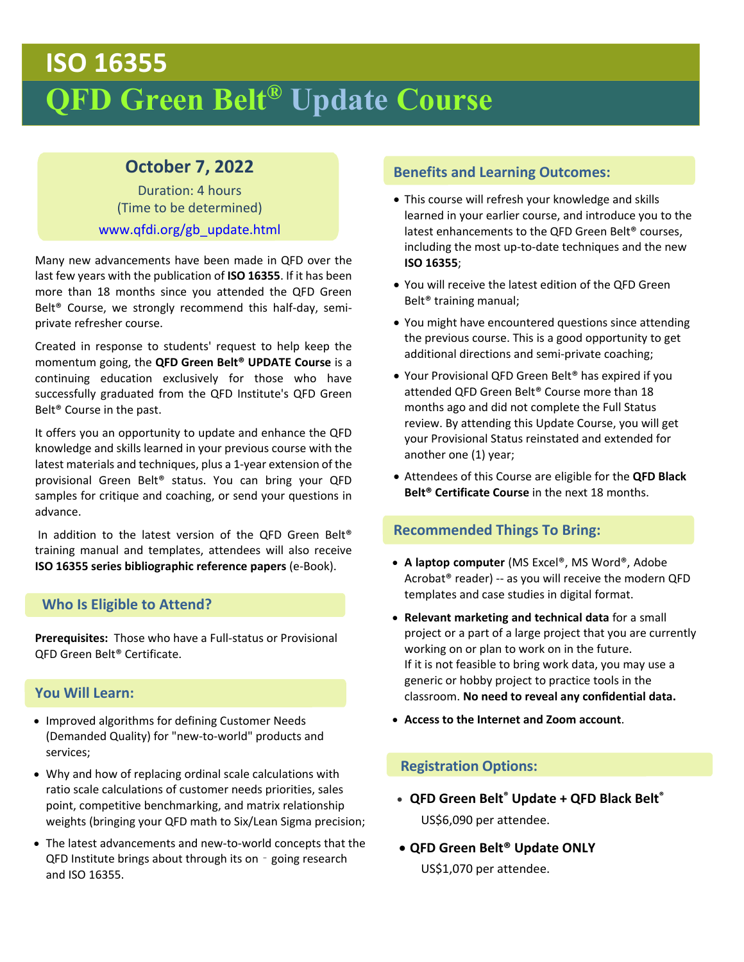# **ISO 16355 QFD Green Belt® Update Course**

# **October 7, 2022**

Duration: 4 hours (Time to be determined) www.qfdi.org/gb\_update.html

Many new advancements have been made in QFD over the last few years with the publication of **ISO 16355**. If it has been more than 18 months since you attended the QFD Green Belt® Course, we strongly recommend this half‐day, semi‐ private refresher course.

Created in response to students' request to help keep the momentum going, the **QFD Green Belt® UPDATE Course** is a continuing education exclusively for those who have successfully graduated from the QFD Institute's QFD Green Belt® Course in the past.

It offers you an opportunity to update and enhance the QFD knowledge and skills learned in your previous course with the latest materials and techniques, plus a 1‐year extension of the provisional Green Belt® status. You can bring your QFD samples for critique and coaching, or send your questions in advance.

 In addition to the latest version of the QFD Green Belt® training manual and templates, attendees will also receive **ISO 16355 series bibliographic reference papers** (e‐Book).

#### **Who Is Eligible to Attend?**

**Prerequisites:** Those who have a Full‐status or Provisional QFD Green Belt® Certificate.

#### **You Will Learn:**

- Improved algorithms for defining Customer Needs (Demanded Quality) for "new‐to‐world" products and services;
- Why and how of replacing ordinal scale calculations with ratio scale calculations of customer needs priorities, sales point, competitive benchmarking, and matrix relationship weights (bringing your QFD math to Six/Lean Sigma precision;
- The latest advancements and new‐to‐world concepts that the QFD Institute brings about through its on - going research and ISO 16355.

## **Benefits and Learning Outcomes:**

- This course will refresh your knowledge and skills learned in your earlier course, and introduce you to the latest enhancements to the QFD Green Belt® courses, including the most up-to-date techniques and the new **ISO 16355**;
- You will receive the latest edition of the QFD Green Belt® training manual;
- You might have encountered questions since attending the previous course. This is a good opportunity to get additional directions and semi‐private coaching;
- Your Provisional QFD Green Belt® has expired if you attended QFD Green Belt® Course more than 18 months ago and did not complete the Full Status review. By attending this Update Course, you will get your Provisional Status reinstated and extended for another one (1) year;
- Attendees of this Course are eligible for the **QFD Black Belt® Certificate Course** in the next 18 months.

#### **Recommended Things To Bring:**

- **A laptop computer** (MS Excel®, MS Word®, Adobe Acrobat® reader) ‐‐ as you will receive the modern QFD templates and case studies in digital format.
- **Relevant marketing and technical data** for a small project or a part of a large project that you are currently working on or plan to work on in the future. If it is not feasible to bring work data, you may use a generic or hobby project to practice tools in the classroom. **No need to reveal any confidential data.**
- **Access to the Internet and Zoom account**.

#### **Registration Options:**

- **QFD Green Belt® Update + QFD Black Belt®** US\$6,090 per attendee.
- **QFD Green Belt® Update ONLY** US\$1,070 per attendee.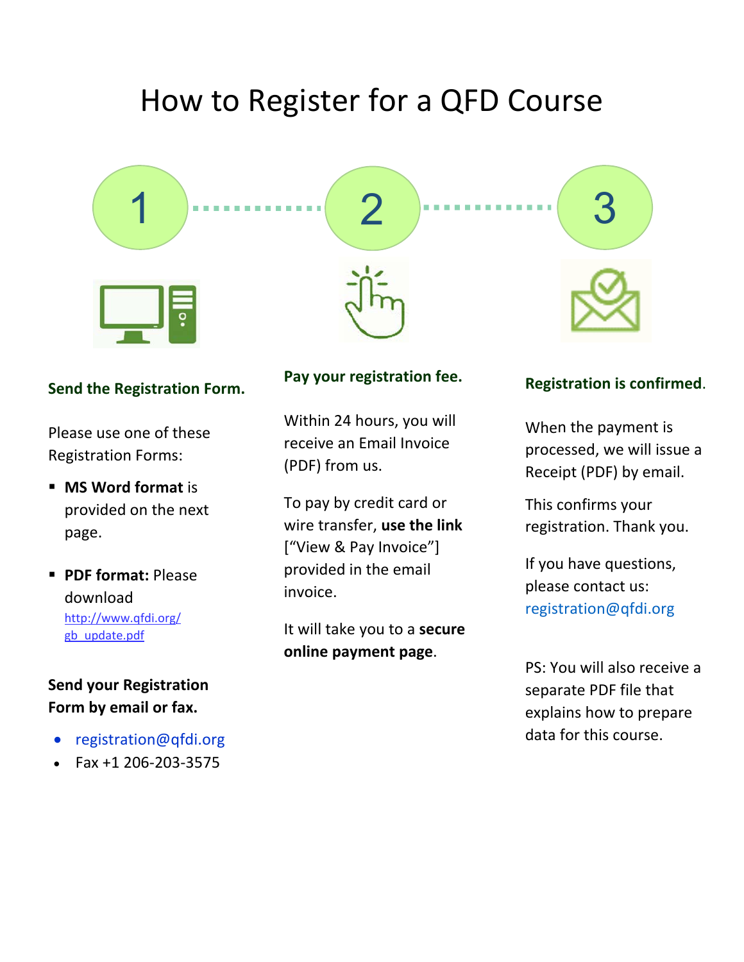# How to Register for a QFD Course



## **Send the Registration Form.**

Please use one of these Registration Forms:

- **MS Word format** is provided on the next page.
- **PDF format:** Please download [http://www.qfdi.org/](http://qfdi.org/gb_update.pdf) gb\_update.pdf

## **Send your Registration Form by email or fax.**

- [registration@qfdi.org](mailto:registration@qfdi.org)
- Fax +1 206‐203‐3575

### **Pay your registration fee.**

Within 24 hours, you will receive an Email Invoice (PDF) from us.

To pay by credit card or wire transfer, **use the link** ["View & Pay Invoice"] provided in the email invoice.

It will take you to a **secure online payment page**.

### **Registration is confirmed**.

When the payment is processed, we will issue a Receipt (PDF) by email.

This confirms your registration. Thank you.

If you have questions, please contact us: [registration@qfdi.org](mailto:registration@qfdi.org) 

PS: You will also receive a separate PDF file that explains how to prepare data for this course.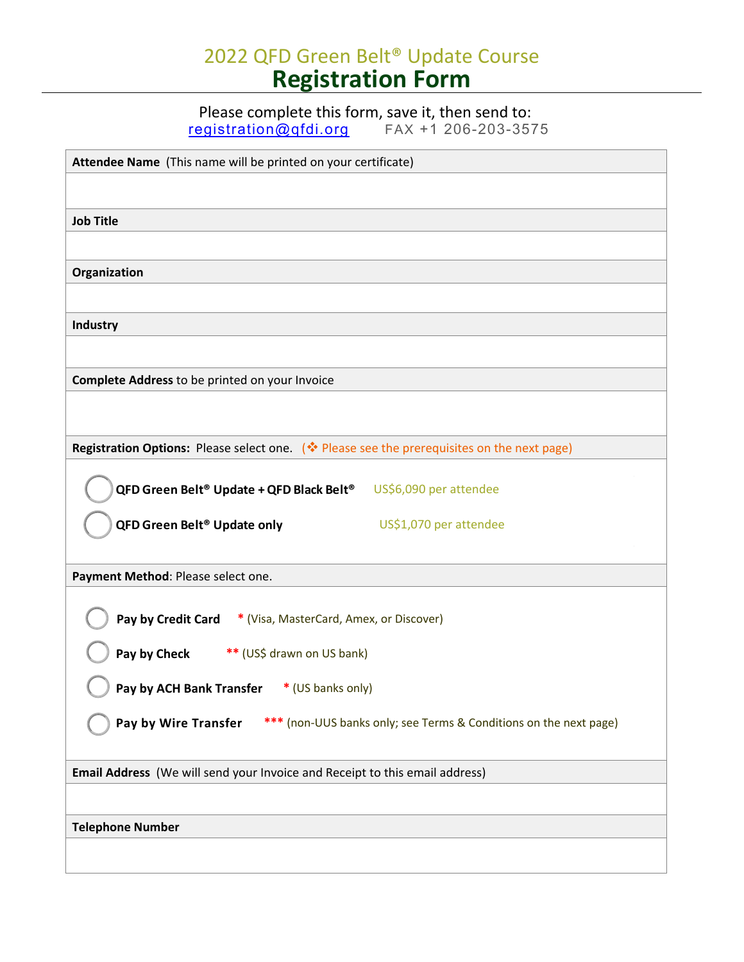# 2022 QFD Green Belt® Update Course **Registration Form**

Please complete this form, save it, then send to:

[registration@qfdi.org](mailto:registration@qfdi.org) FAX +1 206-203-3575

| Attendee Name (This name will be printed on your certificate)                              |
|--------------------------------------------------------------------------------------------|
|                                                                                            |
|                                                                                            |
| <b>Job Title</b>                                                                           |
|                                                                                            |
| Organization                                                                               |
|                                                                                            |
|                                                                                            |
| <b>Industry</b>                                                                            |
|                                                                                            |
|                                                                                            |
| Complete Address to be printed on your Invoice                                             |
|                                                                                            |
|                                                                                            |
| Registration Options: Please select one. (* Please see the prerequisites on the next page) |
|                                                                                            |
| QFD Green Belt <sup>®</sup> Update + QFD Black Belt <sup>®</sup><br>US\$6,090 per attendee |
| QFD Green Belt <sup>®</sup> Update only<br>US\$1,070 per attendee                          |
|                                                                                            |
|                                                                                            |
| Payment Method: Please select one.                                                         |
|                                                                                            |
| Pay by Credit Card * (Visa, MasterCard, Amex, or Discover)                                 |
|                                                                                            |
| Pay by Check<br>** (US\$ drawn on US bank)                                                 |
| Pay by ACH Bank Transfer * (US banks only)                                                 |
|                                                                                            |
| Pay by Wire Transfer<br>*** (non-UUS banks only; see Terms & Conditions on the next page)  |
|                                                                                            |
| Email Address (We will send your Invoice and Receipt to this email address)                |
|                                                                                            |
|                                                                                            |
| <b>Telephone Number</b>                                                                    |
|                                                                                            |
|                                                                                            |